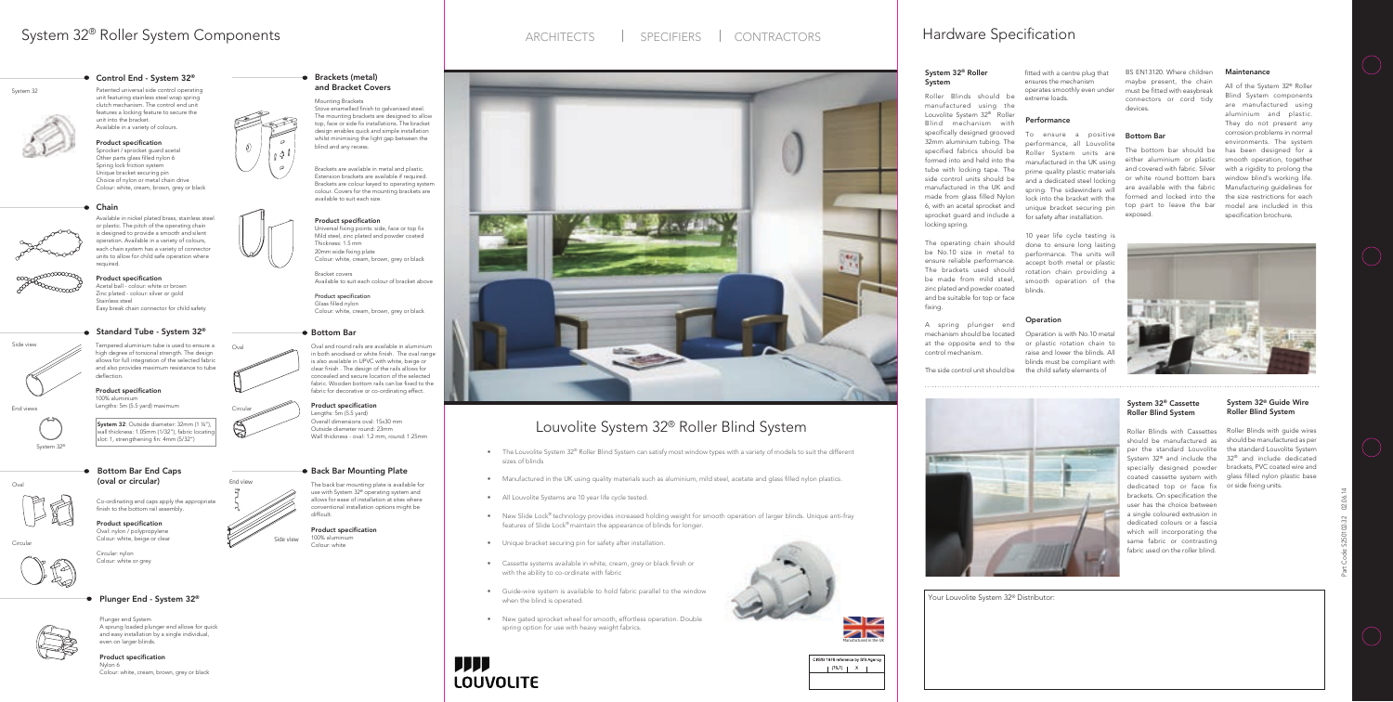# System 32<sup>®</sup> Roller System Components **Hardware Specification** ARCHITECTS | SPECIFIERS | CONTRACTORS | Hardware Specification

 $\sigma$ 



# Louvolite System 32® Roller Blind System

System 32® Roller

manufactured using the Louvolite System 32® Roller Blind mechanism with specifically designed grooved 32mm aluminium tubing. The specified fabrics should be formed into and held into the tube with locking tape. The side control units should be manufactured in the UK and made from glass filled Nylon 6, with an acetal sprocket and

**System** 

Roller Blinds with guide wires should be manufactured as per the standard Louvolite System System  $32^{\circ}$  and include the  $32^{\circ}$  and include dedicated specially designed powder brackets, PVC coated wire and coated cassette system with glass filled nylon plastic base

locking spring.

Roller Blinds should be fitted with a centre plug that ensures the mechanism operates smoothly even under extreme loads.

The operating chain should be No.10 size in metal to ensure reliable performance. The brackets used should be made from mild steel, zinc plated and powder coated and be suitable for top or face

fixing.

A spring plunger end mechanism should be located at the opposite end to the

> dedicated top or face fix or side fixing units. Roller Blinds with Cassettes should be manufactured as per the standard Louvolite brackets. On specification the user has the choice between a single coloured extrusion in dedicated colours or a fascia which will incorporating the same fabric or contrasting fabric used on the roller blind.

control mechanism.

# $\mathbf{H}(\cdot)$

CI/SfB 1976 reference by SfB Agency  $\begin{bmatrix} (76.7) & \end{bmatrix}$  X |

sprocket guard and include a for safety after installation. To ensure a positive performance, all Louvolite Roller System units are manufactured in the UK using prime quality plastic materials and a dedicated steel locking spring. The sidewinders will lock into the bracket with the unique bracket securing pin

### System 32® Guide Wire Roller Blind System

### System 32® Cassette Roller Blind System

The side control unit should be the child safety elements of Operation is with No.10 metal or plastic rotation chain to raise and lower the blinds. All blinds must be compliant with



- The Louvolite System 32® Roller Blind System can satisfy most window types with a variety of models to suit the different sizes of blinds
- Manufactured in the UK using quality materials such as aluminium, mild steel, acetate and glass filled nylon plastics.
- All Louvolite Systems are 10 year life cycle tested.
- New Slide Lock® technology provides increased holding weight for smooth operation of larger blinds. Unique anti-fray features of Slide Lock® maintain the appearance of blinds for longer.
- Unique bracket securing pin for safety after installation.
- Cassette systems available in white, cream, grey or black finish or with the ability to co-ordinate with fabric
- Guide-wire system is available to hold fabric parallel to the window when the blind is operated.
- New gated sprocket wheel for smooth, effortless operation. Double spring option for use with heavy weight fabrics.

**HIII LOUVOLITE** 

### Performance

10 year life cycle testing is done to ensure long lasting performance. The units will accept both metal or plastic rotation chain providing a smooth operation of the blinds.

### **Operation**

### Bottom Bar

The bottom bar should be either aluminium or plastic smooth operation, together and covered with fabric. Silver or white round bottom bars window blind's working life. are available with the fabric Manufacturing guidelines for formed and locked into the top part to leave the bar exposed.

### Maintenance

All of the System 32® Roller Blind System components are manufactured using aluminium and plastic. They do not present any corrosion problems in normal environments. The system has been designed for a with a rigidity to prolong the the size restrictions for each model are included in this specification brochure.



**System 32**: Outside diameter:  $32 \text{mm}$  (1 ¼"),  $\sqrt{2}$  Overall dimension Product specification Lengths: 5m (5.5 yard) Overall dimensions oval: 15x30 mm Outside diameter round: 23mm Wall thickness - oval: 1.2 mm, round: 1.25mm

### **• Back Bar Mounting Plate**

Bottom Bar End Caps  $Oval$  (oval or circular)

slot: 1, strengthening fin: 4mm (5/32")

vall thickness: 1.05mm (1/32"), fabric locating

● Standard Tube - System 32<sup>®</sup>

Your Louvolite System 32® Distributor:

BS EN13120. Where children maybe present, the chain must be fitted with easybreak connectors or cord tidy devices.



System 32 Patented universal side control operating unit featuring stainless steel wrap spring clutch mechanism. The control end unit features a locking feature to secure the unit into the bracket. Available in a variety of colours.

> Product specification Sprocket / sprocket guard acetal Other parts glass filled nylon 6 Spring lock friction system Unique bracket securing pin Choice of nylon or metal chain drive Colour: white, cream, brown, grey or black

Plunger end System

A sprung loaded plunger end allows for quick and easy installation by a single individual,



# even on larger blinds. Product specification

Nylon 6 Colour: white, cream, brown, grey or black



 $\rho = \sqrt{\frac{1}{2\pi}}$ 

Stove enamelled finish to galvanised steel. The mounting brackets are designed to allow top, face or side fix installations. The bracket design enables quick and simple installation whilst minimising the light gap between the blind and any recess.

Brackets are available in metal and plastic. Extension brackets are available if required. Brackets are colour keyed to operating system colour. Covers for the mounting brackets are available to suit each size.



# Mounting Brackets and Bracket Covers

### Product specification

Universal fixing points: side, face or top fix Mild steel, zinc plated and powder coated Thickness: 1.5 mm 20mm wide fixing plate Colour: white, cream, brown, grey or black

Bracket covers Available to suit each colour of bracket above

Product specification Glass filled nylon Colour: white, cream, brown, grey or black

Brackets (metal)



Side view

End views

System 32®

● Plunger End - System 32<sup>®</sup>

deflection.

Product specification 100% aluminium

Lengths: 5m (5.5 yard) maximum

Chain

Available in nickel plated brass, stainless steel or plastic. The pitch of the operating chain is designed to provide a smooth and silent operation. Available in a variety of colours, each chain system has a variety of connector units to allow for child safe operation where



Circula

Zinc plated - colour: silver or gold

required.

Product specification Acetal ball - colour: white or brown

Stainless steel

Easy break chain connector for child safety

### Bottom Bar

Oval and round rails are available in aluminium in both anodised or white finish. The oval range is also available in UPVC with white, beige or clear finish . The design of the rails allows for concealed and secure location of the selected fabric. Wooden bottom rails can be fixed to the fabric for decorative or co-ordinating effect.

Co-ordinating end caps apply the appropriate finish to the bottom rail assembly.

Product specification Oval: nylon / polypropylene Colour: white, beige or clear

Circular: nylon Colour: white or grey

Circular

The back bar mounting plate is available for use with System 32® operating system and allows for ease of installation at sites where conventional installation options might be difficult.

Product specification 100% aluminium Colour: white





ide view